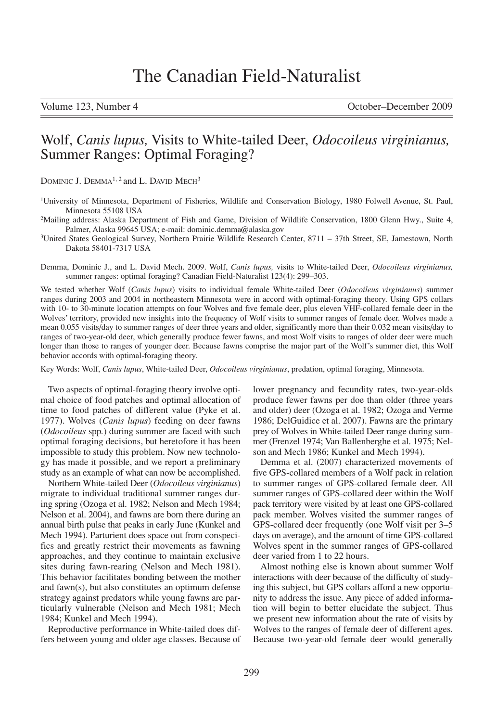Volume 123, Number 4 October–December 2009

# Wolf, *Canis lupus,* Visits to White-tailed Deer, *Odocoileus virginianus,* Summer Ranges: Optimal Foraging?

DOMINIC J. DEMMA<sup>1, 2</sup> and L. DAVID MECH<sup>3</sup>

1University of Minnesota, Department of Fisheries, Wildlife and Conservation Biology, 1980 Folwell Avenue, St. Paul, Minnesota 55108 USA

<sup>2</sup>Mailing address: Alaska Department of Fish and Game, Division of Wildlife Conservation, 1800 Glenn Hwy., Suite 4, Palmer, Alaska 99645 USA; e-mail: dominic.demma@alaska.gov

3United States Geological Survey, Northern Prairie Wildlife Research Center, 8711 – 37th Street, SE, Jamestown, North Dakota 58401-7317 USA

Demma, Dominic J., and L. David Mech. 2009. Wolf, *Canis lupus,* visits to White-tailed Deer, *Odocoileus virginianus,* summer ranges: optimal foraging? Canadian Field-Naturalist 123(4): 299–303.

We tested whether Wolf (*Canis lupus*) visits to individual female White-tailed Deer (*Odocoileus virginianus*) summer ranges during 2003 and 2004 in northeastern Minnesota were in accord with optimal-foraging theory. Using GPS collars with 10- to 30-minute location attempts on four Wolves and five female deer, plus eleven VHF-collared female deer in the Wolves' territory, provided new insights into the frequency of Wolf visits to summer ranges of female deer. Wolves made a mean 0.055 visits/day to summer ranges of deer three years and older, significantly more than their 0.032 mean visits/day to ranges of two-year-old deer, which generally produce fewer fawns, and most Wolf visits to ranges of older deer were much longer than those to ranges of younger deer. Because fawns comprise the major part of the Wolf's summer diet, this Wolf behavior accords with optimal-foraging theory.

Key Words: Wolf, *Canis lupus*, White-tailed Deer, *Odocoileus virginianus*, predation, optimal foraging, Minnesota.

Two aspects of optimal-foraging theory involve optimal choice of food patches and optimal allocation of time to food patches of different value (Pyke et al. 1977). Wolves (*Canis lupus*) feeding on deer fawns (*Odocoileus* spp*.*) during summer are faced with such optimal foraging decisions, but heretofore it has been impossible to study this problem. Now new technology has made it possible, and we report a preliminary study as an example of what can now be accomplished.

Northern White-tailed Deer (*Odocoileus virginianus*) migrate to individual traditional summer ranges during spring (Ozoga et al. 1982; Nelson and Mech 1984; Nelson et al. 2004), and fawns are born there during an annual birth pulse that peaks in early June (Kunkel and Mech 1994). Parturient does space out from conspecifics and greatly restrict their movements as fawning approaches, and they continue to maintain exclusive sites during fawn-rearing (Nelson and Mech 1981). This behavior facilitates bonding between the mother and fawn(s), but also constitutes an optimum defense strategy against predators while young fawns are particularly vulnerable (Nelson and Mech 1981; Mech 1984; Kunkel and Mech 1994).

Reproductive performance in White-tailed does differs between young and older age classes. Because of

lower pregnancy and fecundity rates, two-year-olds produce fewer fawns per doe than older (three years and older) deer (Ozoga et al. 1982; Ozoga and Verme 1986; DelGuidice et al. 2007). Fawns are the primary prey of Wolves in White-tailed Deer range during summer (Frenzel 1974; Van Ballenberghe et al. 1975; Nelson and Mech 1986; Kunkel and Mech 1994).

Demma et al. (2007) characterized movements of five GPS-collared members of a Wolf pack in relation to summer ranges of GPS-collared female deer. All summer ranges of GPS-collared deer within the Wolf pack territory were visited by at least one GPS-collared pack member. Wolves visited the summer ranges of GPS-collared deer frequently (one Wolf visit per 3–5 days on average), and the amount of time GPS-collared Wolves spent in the summer ranges of GPS-collared deer varied from 1 to 22 hours.

Almost nothing else is known about summer Wolf interactions with deer because of the difficulty of studying this subject, but GPS collars afford a new opportunity to address the issue. Any piece of added information will begin to better elucidate the subject. Thus we present new information about the rate of visits by Wolves to the ranges of female deer of different ages. Because two-year-old female deer would generally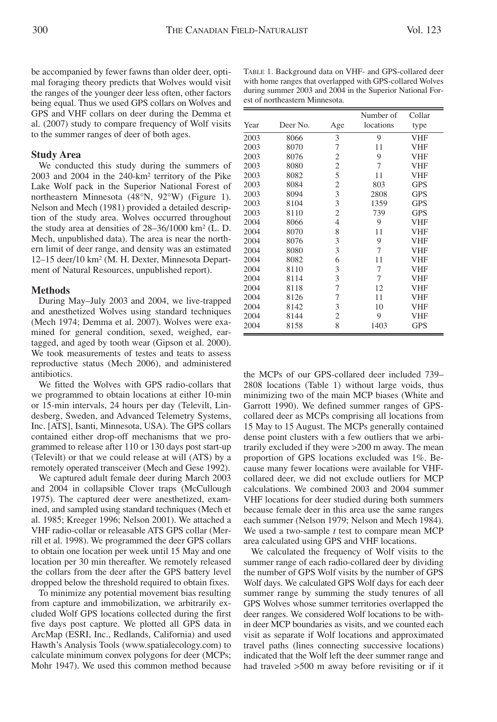be accompanied by fewer fawns than older deer, optimal foraging theory predicts that Wolves would visit the ranges of the younger deer less often, other factors being equal. Thus we used GPS collars on Wolves and GPS and VHF collars on deer during the Demma et al. (2007) study to compare frequency of Wolf visits to the summer ranges of deer of both ages.

## **Study Area**

We conducted this study during the summers of 2003 and 2004 in the 240-km² territory of the Pike Lake Wolf pack in the Superior National Forest of northeastern Minnesota (48°N, 92°W) (Figure 1). Nelson and Mech (1981) provided a detailed description of the study area. Wolves occurred throughout the study area at densities of 28–36/1000 km² (L. D. Mech, unpublished data). The area is near the northern limit of deer range, and density was an estimated 12–15 deer/10 km² (M. H. Dexter, Minnesota Department of Natural Resources, unpublished report).

## **Methods**

During May–July 2003 and 2004, we live-trapped and anesthetized Wolves using standard techniques (Mech 1974; Demma et al. 2007). Wolves were examined for general condition, sexed, weighed, eartagged, and aged by tooth wear (Gipson et al. 2000). We took measurements of testes and teats to assess reproductive status (Mech 2006), and administered antibiotics.

We fitted the Wolves with GPS radio-collars that we programmed to obtain locations at either 10-min or 15-min intervals, 24 hours per day (Televilt, Lindesberg, Sweden, and Advanced Telemetry Systems, Inc. [ATS], Isanti, Minnesota, USA). The GPS collars contained either drop-off mechanisms that we programmed to release after 110 or 130 days post start-up (Televilt) or that we could release at will (ATS) by a remotely operated transceiver (Mech and Gese 1992).

We captured adult female deer during March 2003 and 2004 in collapsible Clover traps (McCullough 1975). The captured deer were anesthetized, examined, and sampled using standard techniques (Mech et al. 1985; Kreeger 1996; Nelson 2001). We attached a VHF radio-collar or releasable ATS GPS collar (Merrill et al. 1998). We programmed the deer GPS collars to obtain one location per week until 15 May and one location per 30 min thereafter. We remotely released the collars from the deer after the GPS battery level dropped below the threshold required to obtain fixes.

To minimize any potential movement bias resulting from capture and immobilization, we arbitrarily excluded Wolf GPS locations collected during the first five days post capture. We plotted all GPS data in ArcMap (ESRI, Inc., Redlands, California) and used Hawth's Analysis Tools (www.spatialecology.com) to calculate minimum convex polygons for deer (MCPs; Mohr 1947). We used this common method because

|      |          |                | Number of | Collar     |
|------|----------|----------------|-----------|------------|
| Year | Deer No. | Age            | locations | type       |
| 2003 | 8066     | 3              | 9         | VHF        |
| 2003 | 8070     | 7              | 11        | VHF        |
| 2003 | 8076     | $\overline{c}$ | 9         | VHF        |
| 2003 | 8080     | $\overline{c}$ | 7         | VHF        |
| 2003 | 8082     | 5              | 11        | VHF        |
| 2003 | 8084     | $\mathfrak{2}$ | 803       | <b>GPS</b> |
| 2003 | 8094     | 3              | 2808      | <b>GPS</b> |
| 2003 | 8104     | 3              | 1359      | <b>GPS</b> |
| 2003 | 8110     | $\mathfrak{2}$ | 739       | <b>GPS</b> |
| 2004 | 8066     | $\overline{4}$ | 9         | <b>VHF</b> |
| 2004 | 8070     | 8              | 11        | <b>VHF</b> |
| 2004 | 8076     | 3              | 9         | <b>VHF</b> |
| 2004 | 8080     | 3              | 7         | VHF        |
| 2004 | 8082     | 6              | 11        | VHF        |
| 2004 | 8110     | 3              | 7         | VHF        |
| 2004 | 8114     | 3              | 7         | VHF        |
| 2004 | 8118     | 7              | 12        | VHF        |
| 2004 | 8126     | 7              | 11        | VHF        |
| 2004 | 8142     | 3              | 10        | VHF        |
| 2004 | 8144     | $\overline{2}$ | 9         | VHF        |
| 2004 | 8158     | 8              | 1403      | <b>GPS</b> |

TABLE 1. Background data on VHF- and GPS-collared deer with home ranges that overlapped with GPS-collared Wolves during summer 2003 and 2004 in the Superior National Forest of northeastern Minnesota.

the MCPs of our GPS-collared deer included 739– 2808 locations (Table 1) without large voids, thus minimizing two of the main MCP biases (White and Garrott 1990). We defined summer ranges of GPScollared deer as MCPs comprising all locations from 15 May to 15 August. The MCPs generally contained dense point clusters with a few outliers that we arbitrarily excluded if they were >200 m away. The mean proportion of GPS locations excluded was 1%. Because many fewer locations were available for VHFcollared deer, we did not exclude outliers for MCP calculations. We combined 2003 and 2004 summer VHF locations for deer studied during both summers because female deer in this area use the same ranges each summer (Nelson 1979; Nelson and Mech 1984). We used a two-sample *t* test to compare mean MCP area calculated using GPS and VHF locations.

We calculated the frequency of Wolf visits to the summer range of each radio-collared deer by dividing the number of GPS Wolf visits by the number of GPS Wolf days. We calculated GPS Wolf days for each deer summer range by summing the study tenures of all GPS Wolves whose summer territories overlapped the deer ranges. We considered Wolf locations to be within deer MCP boundaries as visits, and we counted each visit as separate if Wolf locations and approximated travel paths (lines connecting successive locations) indicated that the Wolf left the deer summer range and had traveled >500 m away before revisiting or if it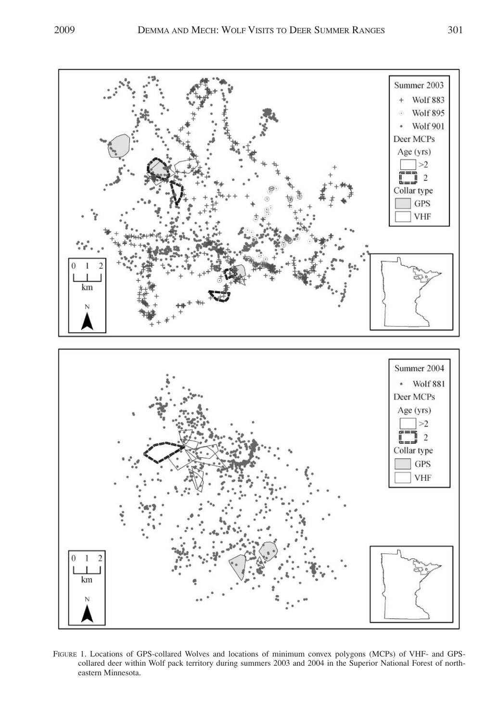

FIGURE 1. Locations of GPS-collared Wolves and locations of minimum convex polygons (MCPs) of VHF- and GPScollared deer within Wolf pack territory during summers 2003 and 2004 in the Superior National Forest of northeastern Minnesota.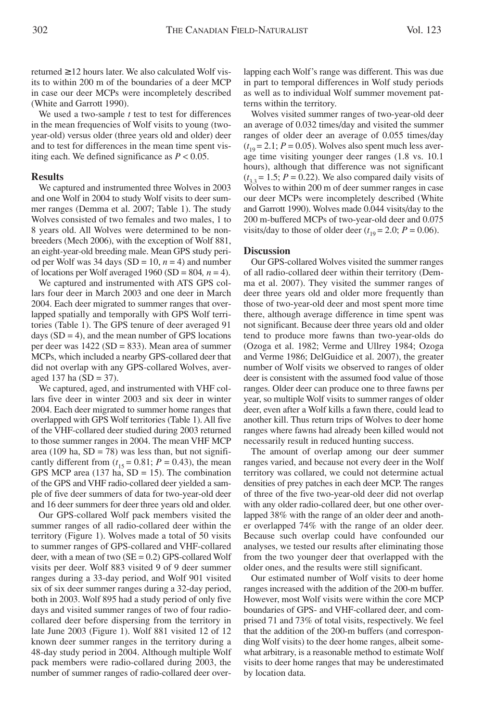returned  $\geq 12$  hours later. We also calculated Wolf visits to within 200 m of the boundaries of a deer MCP in case our deer MCPs were incompletely described (White and Garrott 1990).

We used a two-sample *t* test to test for differences in the mean frequencies of Wolf visits to young (twoyear-old) versus older (three years old and older) deer and to test for differences in the mean time spent visiting each. We defined significance as *P* < 0.05.

#### **Results**

We captured and instrumented three Wolves in 2003 and one Wolf in 2004 to study Wolf visits to deer summer ranges (Demma et al. 2007; Table 1). The study Wolves consisted of two females and two males, 1 to 8 years old. All Wolves were determined to be nonbreeders (Mech 2006), with the exception of Wolf 881, an eight-year-old breeding male. Mean GPS study period per Wolf was 34 days ( $SD = 10$ ,  $n = 4$ ) and number of locations per Wolf averaged 1960 (SD =  $804$ ,  $n = 4$ ).

We captured and instrumented with ATS GPS collars four deer in March 2003 and one deer in March 2004. Each deer migrated to summer ranges that overlapped spatially and temporally with GPS Wolf territories (Table 1). The GPS tenure of deer averaged 91 days  $(SD = 4)$ , and the mean number of GPS locations per deer was 1422 (SD = 833). Mean area of summer MCPs, which included a nearby GPS-collared deer that did not overlap with any GPS-collared Wolves, averaged 137 ha  $(SD = 37)$ .

We captured, aged, and instrumented with VHF collars five deer in winter 2003 and six deer in winter 2004. Each deer migrated to summer home ranges that overlapped with GPS Wolf territories (Table 1). All five of the VHF-collared deer studied during 2003 returned to those summer ranges in 2004. The mean VHF MCP area (109 ha,  $SD = 78$ ) was less than, but not significantly different from  $(t_{15} = 0.81; P = 0.43)$ , the mean GPS MCP area  $(137 \text{ ha}, SD = 15)$ . The combination of the GPS and VHF radio-collared deer yielded a sample of five deer summers of data for two-year-old deer and 16 deer summers for deer three years old and older.

Our GPS-collared Wolf pack members visited the summer ranges of all radio-collared deer within the territory (Figure 1). Wolves made a total of 50 visits to summer ranges of GPS-collared and VHF-collared deer, with a mean of two  $(SE = 0.2)$  GPS-collared Wolf visits per deer. Wolf 883 visited 9 of 9 deer summer ranges during a 33-day period, and Wolf 901 visited six of six deer summer ranges during a 32-day period, both in 2003. Wolf 895 had a study period of only five days and visited summer ranges of two of four radiocollared deer before dispersing from the territory in late June 2003 (Figure 1). Wolf 881 visited 12 of 12 known deer summer ranges in the territory during a 48-day study period in 2004. Although multiple Wolf pack members were radio-collared during 2003, the number of summer ranges of radio-collared deer overlapping each Wolf's range was different. This was due in part to temporal differences in Wolf study periods as well as to individual Wolf summer movement patterns within the territory.

Wolves visited summer ranges of two-year-old deer an average of 0.032 times/day and visited the summer ranges of older deer an average of 0.055 times/day  $(t_{19} = 2.1; P = 0.05)$ . Wolves also spent much less average time visiting younger deer ranges (1.8 vs. 10.1 hours), although that difference was not significant  $(t_{3,3} = 1.5; P = 0.22)$ . We also compared daily visits of Wolves to within 200 m of deer summer ranges in case our deer MCPs were incompletely described (White and Garrott 1990). Wolves made 0.044 visits/day to the 200 m-buffered MCPs of two-year-old deer and 0.075 visits/day to those of older deer  $(t_{19} = 2.0; P = 0.06)$ .

# **Discussion**

Our GPS-collared Wolves visited the summer ranges of all radio-collared deer within their territory (Demma et al. 2007). They visited the summer ranges of deer three years old and older more frequently than those of two-year-old deer and most spent more time there, although average difference in time spent was not significant. Because deer three years old and older tend to produce more fawns than two-year-olds do (Ozoga et al. 1982; Verme and Ullrey 1984; Ozoga and Verme 1986; DelGuidice et al. 2007), the greater number of Wolf visits we observed to ranges of older deer is consistent with the assumed food value of those ranges. Older deer can produce one to three fawns per year, so multiple Wolf visits to summer ranges of older deer, even after a Wolf kills a fawn there, could lead to another kill. Thus return trips of Wolves to deer home ranges where fawns had already been killed would not necessarily result in reduced hunting success.

The amount of overlap among our deer summer ranges varied, and because not every deer in the Wolf territory was collared, we could not determine actual densities of prey patches in each deer MCP. The ranges of three of the five two-year-old deer did not overlap with any older radio-collared deer, but one other overlapped 38% with the range of an older deer and another overlapped 74% with the range of an older deer. Because such overlap could have confounded our analyses, we tested our results after eliminating those from the two younger deer that overlapped with the older ones, and the results were still significant.

Our estimated number of Wolf visits to deer home ranges increased with the addition of the 200-m buffer. However, most Wolf visits were within the core MCP boundaries of GPS- and VHF-collared deer, and comprised 71 and 73% of total visits, respectively. We feel that the addition of the 200-m buffers (and corresponding Wolf visits) to the deer home ranges, albeit somewhat arbitrary, is a reasonable method to estimate Wolf visits to deer home ranges that may be underestimated by location data.